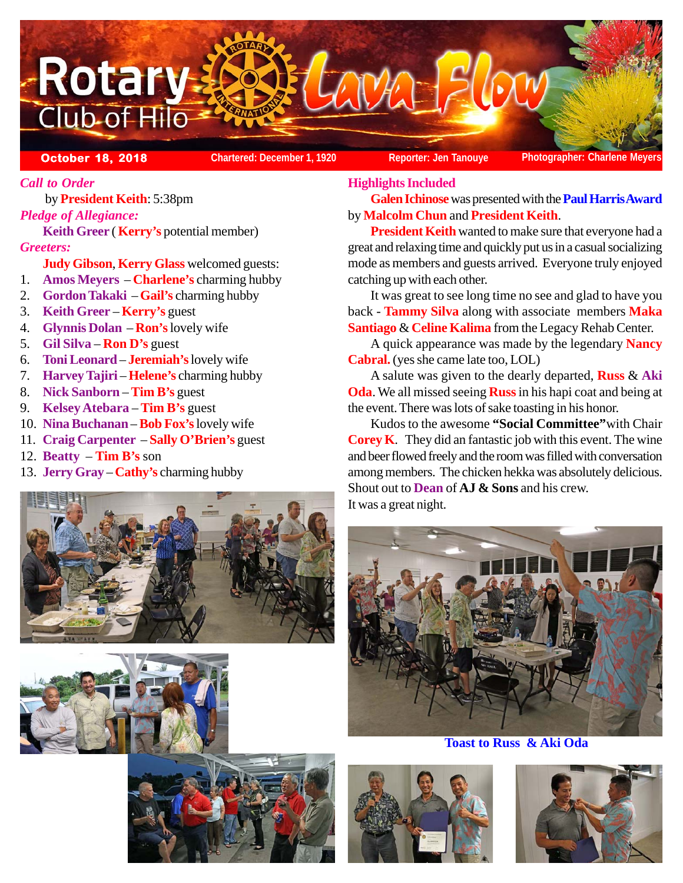

*Call to Order*

 by **President Keith**: 5:38pm *Pledge of Allegiance:* **Keith Greer** ( **Kerry's** potential member)

*Greeters:*

**Judy Gibson**, **Kerry Glass** welcomed guests:

- 1. **Amos Meyers Charlene's** charming hubby
- 2. **Gordon Takaki Gail's** charming hubby
- 3. **Keith Greer Kerry's** guest
- 4. **Glynnis Dolan Ron's** lovely wife
- 5. **Gil Silva Ron D's** guest
- 6. **Toni Leonard** – **Jeremiah's** lovely wife
- 7. **Harvey Tajiri Helene's** charming hubby
- 8. **Nick Sanborn Tim B's** guest
- 9. **Kelsey Atebara** – **Tim B's** guest
- 10. **Nina Buchanan Bob Fox's** lovely wife
- 11. **Craig Carpenter Sally O'Brien's** guest
- 12. **Beatty Tim B's** son
- 13. **Jerry Gray** – **Cathy's** charming hubby







### **Highlights Included***:*

**Galen Ichinose** was presented with the **Paul Harris Award** by **Malcolm Chun** and **President Keith**.

**President Keith** wanted to make sure that everyone had a great and relaxing time and quickly put us in a casual socializing mode as members and guests arrived. Everyone truly enjoyed catching up with each other.

It was great to see long time no see and glad to have you back - **Tammy Silva** along with associate members **Maka Santiago** & **Celine Kalima** from the Legacy Rehab Center.

A quick appearance was made by the legendary **Nancy Cabral.** (yes she came late too, LOL)

A salute was given to the dearly departed, **Russ** & **Aki Oda**. We all missed seeing **Russ** in his hapi coat and being at the event. There was lots of sake toasting in his honor.

Kudos to the awesome **"Social Committee"**with Chair **Corey K**. They did an fantastic job with this event. The wine and beer flowed freely and the room was filled with conversation among members. The chicken hekka was absolutely delicious. Shout out to **Dean** of **AJ & Sons** and his crew. It was a great night.



**Toast to Russ & Aki Oda**



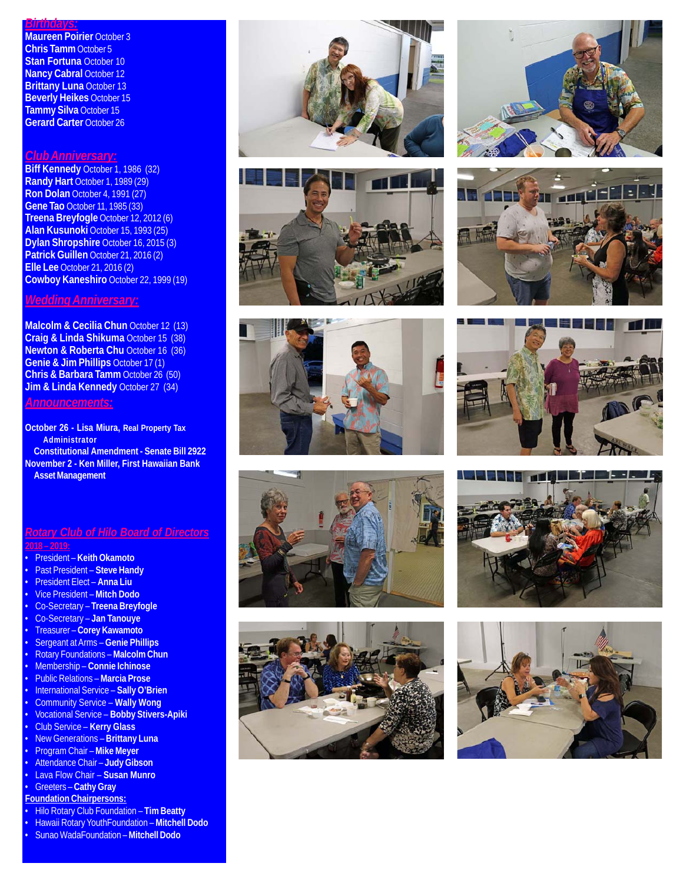# *Birthdays:*

**Maureen Poirier** October 3 **Chris Tamm** October 5 **Stan Fortuna** October 10 **Nancy Cabral October 12 Brittany Luna** October 13 **Beverly Heikes** October 15 **Tammy Silva** October 15 **Gerard Carter** October 26

#### *Club Anniversary:*

**Biff Kennedy** October 1, 1986 (32) **Randy Hart** October 1, 1989 (29) **Ron Dolan** October 4, 1991 (27) **Gene Tao** October 11, 1985 (33) **Treena Breyfogle** October 12, 2012 (6) **Alan Kusunoki** October 15, 1993 (25) **Dylan Shropshire** October 16, 2015 (3) **Patrick Guillen** October 21, 2016 (2) **Elle Lee** October 21, 2016 (2) **Cowboy Kaneshiro** October 22, 1999 (19)

# *Wedding Anniversary:*

**Malcolm & Cecilia Chun** October 12 (13) **Craig & Linda Shikuma** October 15 (38) **Newton & Roberta Chu** October 16 (36) **Genie & Jim Phillips** October 17 (1) **Chris & Barbara Tamm** October 26 (50) **Jim & Linda Kennedy October 27 (34)** 

#### *Announcements:*

**October 26 - Lisa Miura, Real Property Tax Administrator Constitutional Amendment - Senate Bill 2922 November 2 - Ken Miller, First Hawaiian Bank Asset Management**

### *Rotary Club of Hilo Board of Directors* **2018 – 2019:**

- President **Keith Okamoto**
- Past President **Steve Handy**
- President Elect **Anna Liu**
- Vice President **Mitch Dodo**
- Co-Secretary **Treena Breyfogle**
- Co-Secretary **Jan Tanouye**
- Treasurer **Corey Kawamoto**
- Sergeant at Arms – **Genie Phillips**
- Rotary Foundations **Malcolm Chun**
- Membership **Connie Ichinose**
- Public Relations **Marcia Prose**
- International Service **Sally O'Brien**
- Community Service **Wally Wong**
- Vocational Service **Bobby Stivers-Apiki**
- Club Service **Kerry Glass**
- New Generations **Brittany Luna** • Program Chair – **Mike Meyer**
- Attendance Chair **Judy Gibson**
- Lava Flow Chair **Susan Munro**
- Greeters **Cathy Gray**
- **Foundation Chairpersons:**
- Hilo Rotary Club Foundation **Tim Beatty**
- Hawaii Rotary YouthFoundation **Mitchell Dodo**
- Sunao WadaFoundation **Mitchell Dodo**
-